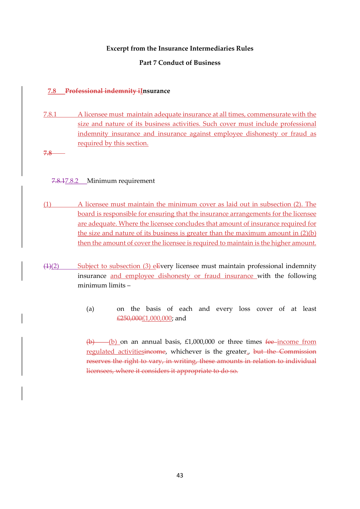## Excerpt from the Insurance Intermediaries Rules

### Part 7 Conduct of Business

### 7.8 Professional indemnity iInsurance

- 7.8.1 A licensee must maintain adequate insurance at all times, commensurate with the size and nature of its business activities. Such cover must include professional indemnity insurance and insurance against employee dishonesty or fraud as required by this section.
- 7.8

## 7.8.17.8.2 Minimum requirement

- (1) A licensee must maintain the minimum cover as laid out in subsection (2). The board is responsible for ensuring that the insurance arrangements for the licensee are adequate. Where the licensee concludes that amount of insurance required for the size and nature of its business is greater than the maximum amount in (2)(b) then the amount of cover the licensee is required to maintain is the higher amount.
- $(1)(2)$  Subject to subsection (3) eEvery licensee must maintain professional indemnity insurance and employee dishonesty or fraud insurance with the following minimum limits –
	- (a) on the basis of each and every loss cover of at least £250,000£1,000,000; and

 $(b)$  (b) on an annual basis, £1,000,000 or three times fee-income from regulated activitiesincome, whichever is the greater., but the Commission reserves the right to vary, in writing, these amounts in relation to individual licensees, where it considers it appropriate to do so.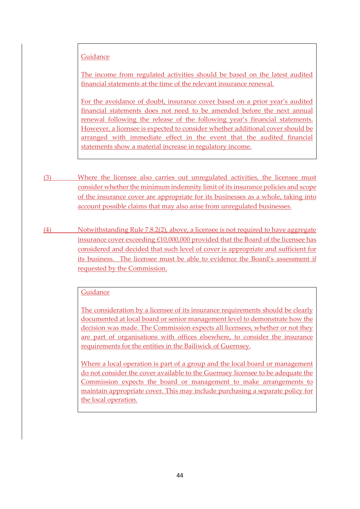## **Guidance**

The income from regulated activities should be based on the latest audited financial statements at the time of the relevant insurance renewal.

For the avoidance of doubt, insurance cover based on a prior year's audited financial statements does not need to be amended before the next annual renewal following the release of the following year's financial statements. However, a licensee is expected to consider whether additional cover should be arranged with immediate effect in the event that the audited financial statements show a material increase in regulatory income.

- (3) Where the licensee also carries out unregulated activities, the licensee must consider whether the minimum indemnity limit of its insurance policies and scope of the insurance cover are appropriate for its businesses as a whole, taking into account possible claims that may also arise from unregulated businesses.
- (4) Notwithstanding Rule 7.8.2(2), above, a licensee is not required to have aggregate insurance cover exceeding £10,000,000 provided that the Board of the licensee has considered and decided that such level of cover is appropriate and sufficient for its business. The licensee must be able to evidence the Board's assessment if requested by the Commission.

#### **Guidance**

The consideration by a licensee of its insurance requirements should be clearly documented at local board or senior management level to demonstrate how the decision was made. The Commission expects all licensees, whether or not they are part of organisations with offices elsewhere, to consider the insurance requirements for the entities in the Bailiwick of Guernsey.

Where a local operation is part of a group and the local board or management do not consider the cover available to the Guernsey licensee to be adequate the Commission expects the board or management to make arrangements to maintain appropriate cover. This may include purchasing a separate policy for the local operation.